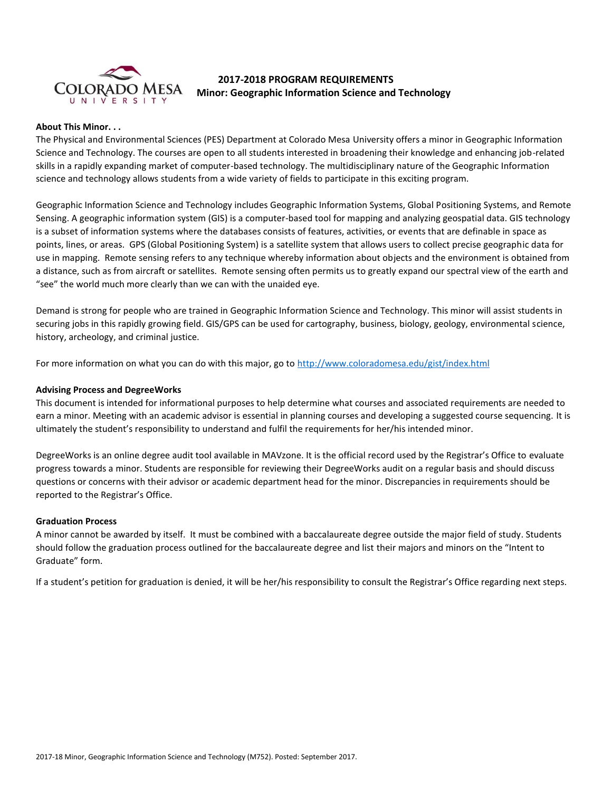

# **2017-2018 PROGRAM REQUIREMENTS Minor: Geographic Information Science and Technology**

### **About This Minor. . .**

The Physical and Environmental Sciences (PES) Department at Colorado Mesa University offers a minor in Geographic Information Science and Technology. The courses are open to all students interested in broadening their knowledge and enhancing job-related skills in a rapidly expanding market of computer-based technology. The multidisciplinary nature of the Geographic Information science and technology allows students from a wide variety of fields to participate in this exciting program.

Geographic Information Science and Technology includes Geographic Information Systems, Global Positioning Systems, and Remote Sensing. A geographic information system (GIS) is a computer-based tool for mapping and analyzing geospatial data. GIS technology is a subset of information systems where the databases consists of features, activities, or events that are definable in space as points, lines, or areas. GPS (Global Positioning System) is a satellite system that allows users to collect precise geographic data for use in mapping. Remote sensing refers to any technique whereby information about objects and the environment is obtained from a distance, such as from aircraft or satellites. Remote sensing often permits us to greatly expand our spectral view of the earth and "see" the world much more clearly than we can with the unaided eye.

Demand is strong for people who are trained in Geographic Information Science and Technology. This minor will assist students in securing jobs in this rapidly growing field. GIS/GPS can be used for cartography, business, biology, geology, environmental science, history, archeology, and criminal justice.

For more information on what you can do with this major, go to<http://www.coloradomesa.edu/gist/index.html>

# **Advising Process and DegreeWorks**

This document is intended for informational purposes to help determine what courses and associated requirements are needed to earn a minor. Meeting with an academic advisor is essential in planning courses and developing a suggested course sequencing. It is ultimately the student's responsibility to understand and fulfil the requirements for her/his intended minor.

DegreeWorks is an online degree audit tool available in MAVzone. It is the official record used by the Registrar's Office to evaluate progress towards a minor. Students are responsible for reviewing their DegreeWorks audit on a regular basis and should discuss questions or concerns with their advisor or academic department head for the minor. Discrepancies in requirements should be reported to the Registrar's Office.

#### **Graduation Process**

A minor cannot be awarded by itself. It must be combined with a baccalaureate degree outside the major field of study. Students should follow the graduation process outlined for the baccalaureate degree and list their majors and minors on the "Intent to Graduate" form.

If a student's petition for graduation is denied, it will be her/his responsibility to consult the Registrar's Office regarding next steps.